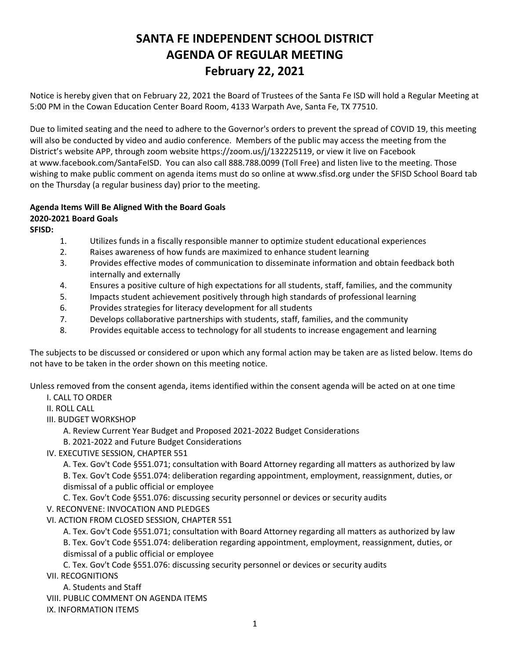## **SANTA FE INDEPENDENT SCHOOL DISTRICT AGENDA OF REGULAR MEETING February 22, 2021**

Notice is hereby given that on February 22, 2021 the Board of Trustees of the Santa Fe ISD will hold a Regular Meeting at 5:00 PM in the Cowan Education Center Board Room, 4133 Warpath Ave, Santa Fe, TX 77510.

Due to limited seating and the need to adhere to the Governor's orders to prevent the spread of COVID 19, this meeting will also be conducted by video and audio conference. Members of the public may access the meeting from the District's website APP, through zoom website [https://zoom.us/j/132225119,](https://zoom.us/j/132225119) or view it live on Facebook at [www.facebook.com/SantaFeISD](http://www.facebook.com/SantaFeISD). You can also call 888.788.0099 (Toll Free) and listen live to the meeting. Those wishing to make public comment on agenda items must do so online at www.sfisd.org under the SFISD School Board tab on the Thursday (a regular business day) prior to the meeting.

## **Agenda Items Will Be Aligned With the Board Goals**

## **2020-2021 Board Goals**

**SFISD:** 

- 1. Utilizes funds in a fiscally responsible manner to optimize student educational experiences
- 2. Raises awareness of how funds are maximized to enhance student learning
- 3. Provides effective modes of communication to disseminate information and obtain feedback both internally and externally
- 4. Ensures a positive culture of high expectations for all students, staff, families, and the community
- 5. Impacts student achievement positively through high standards of professional learning
- 6. Provides strategies for literacy development for all students
- 7. Develops collaborative partnerships with students, staff, families, and the community
- 8. Provides equitable access to technology for all students to increase engagement and learning

The subjects to be discussed or considered or upon which any formal action may be taken are as listed below. Items do not have to be taken in the order shown on this meeting notice.

Unless removed from the consent agenda, items identified within the consent agenda will be acted on at one time

- I. CALL TO ORDER
- II. ROLL CALL
- III. BUDGET WORKSHOP
	- A. Review Current Year Budget and Proposed 2021-2022 Budget Considerations
	- B. 2021-2022 and Future Budget Considerations
- IV. EXECUTIVE SESSION, CHAPTER 551

A. Tex. Gov't Code §551.071; consultation with Board Attorney regarding all matters as authorized by law B. Tex. Gov't Code §551.074: deliberation regarding appointment, employment, reassignment, duties, or dismissal of a public official or employee

C. Tex. Gov't Code §551.076: discussing security personnel or devices or security audits V. RECONVENE: INVOCATION AND PLEDGES

VI. ACTION FROM CLOSED SESSION, CHAPTER 551

A. Tex. Gov't Code §551.071; consultation with Board Attorney regarding all matters as authorized by law B. Tex. Gov't Code §551.074: deliberation regarding appointment, employment, reassignment, duties, or dismissal of a public official or employee

C. Tex. Gov't Code §551.076: discussing security personnel or devices or security audits

VII. RECOGNITIONS

A. Students and Staff

VIII. PUBLIC COMMENT ON AGENDA ITEMS

IX. INFORMATION ITEMS